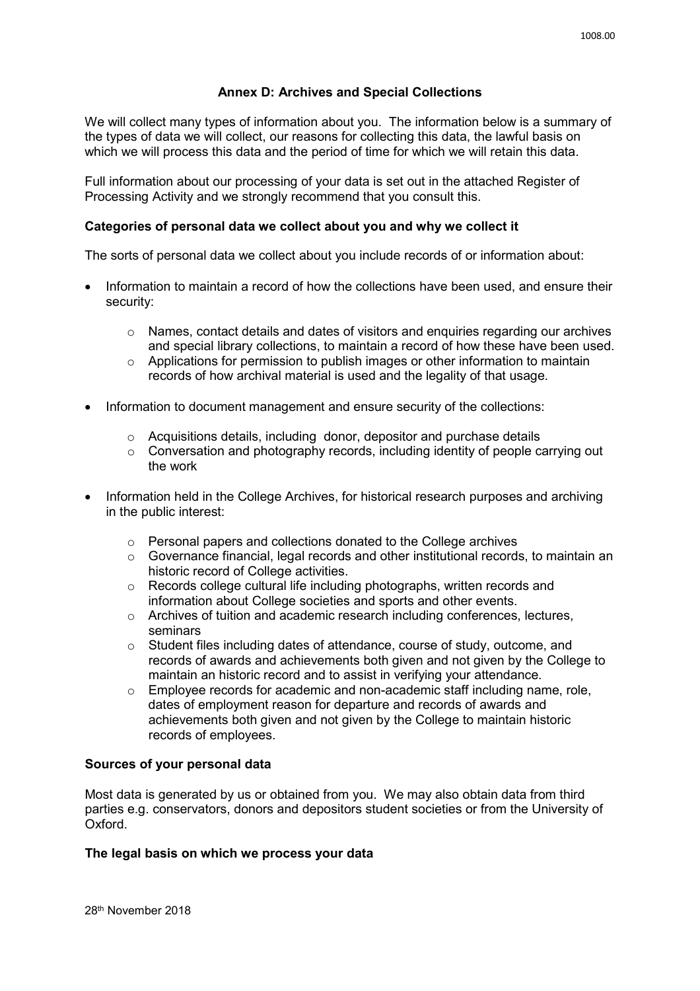# **Annex D: Archives and Special Collections**

We will collect many types of information about you. The information below is a summary of the types of data we will collect, our reasons for collecting this data, the lawful basis on which we will process this data and the period of time for which we will retain this data.

Full information about our processing of your data is set out in the attached Register of Processing Activity and we strongly recommend that you consult this.

### **Categories of personal data we collect about you and why we collect it**

The sorts of personal data we collect about you include records of or information about:

- Information to maintain a record of how the collections have been used, and ensure their security:
	- o Names, contact details and dates of visitors and enquiries regarding our archives and special library collections, to maintain a record of how these have been used.
	- o Applications for permission to publish images or other information to maintain records of how archival material is used and the legality of that usage.
- Information to document management and ensure security of the collections:
	- o Acquisitions details, including donor, depositor and purchase details
	- $\circ$  Conversation and photography records, including identity of people carrying out the work
- Information held in the College Archives, for historical research purposes and archiving in the public interest:
	- o Personal papers and collections donated to the College archives
	- o Governance financial, legal records and other institutional records, to maintain an historic record of College activities.
	- o Records college cultural life including photographs, written records and information about College societies and sports and other events.
	- o Archives of tuition and academic research including conferences, lectures, seminars
	- o Student files including dates of attendance, course of study, outcome, and records of awards and achievements both given and not given by the College to maintain an historic record and to assist in verifying your attendance.
	- $\circ$  Employee records for academic and non-academic staff including name, role, dates of employment reason for departure and records of awards and achievements both given and not given by the College to maintain historic records of employees.

## **Sources of your personal data**

Most data is generated by us or obtained from you. We may also obtain data from third parties e.g. conservators, donors and depositors student societies or from the University of Oxford.

#### **The legal basis on which we process your data**